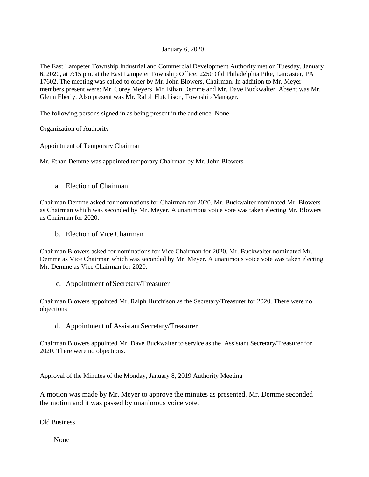## January 6, 2020

The East Lampeter Township Industrial and Commercial Development Authority met on Tuesday, January 6, 2020, at 7:15 pm. at the East Lampeter Township Office: 2250 Old Philadelphia Pike, Lancaster, PA 17602. The meeting was called to order by Mr. John Blowers, Chairman. In addition to Mr. Meyer members present were: Mr. Corey Meyers, Mr. Ethan Demme and Mr. Dave Buckwalter. Absent was Mr. Glenn Eberly. Also present was Mr. Ralph Hutchison, Township Manager.

The following persons signed in as being present in the audience: None

# Organization of Authority

Appointment of Temporary Chairman

Mr. Ethan Demme was appointed temporary Chairman by Mr. John Blowers

a. Election of Chairman

Chairman Demme asked for nominations for Chairman for 2020. Mr. Buckwalter nominated Mr. Blowers as Chairman which was seconded by Mr. Meyer. A unanimous voice vote was taken electing Mr. Blowers as Chairman for 2020.

b. Election of Vice Chairman

Chairman Blowers asked for nominations for Vice Chairman for 2020. Mr. Buckwalter nominated Mr. Demme as Vice Chairman which was seconded by Mr. Meyer. A unanimous voice vote was taken electing Mr. Demme as Vice Chairman for 2020.

c. Appointment of Secretary/Treasurer

Chairman Blowers appointed Mr. Ralph Hutchison as the Secretary/Treasurer for 2020. There were no objections

d. Appointment of AssistantSecretary/Treasurer

Chairman Blowers appointed Mr. Dave Buckwalter to service as the Assistant Secretary/Treasurer for 2020. There were no objections.

Approval of the Minutes of the Monday, January 8, 2019 Authority Meeting

A motion was made by Mr. Meyer to approve the minutes as presented. Mr. Demme seconded the motion and it was passed by unanimous voice vote.

Old Business

None